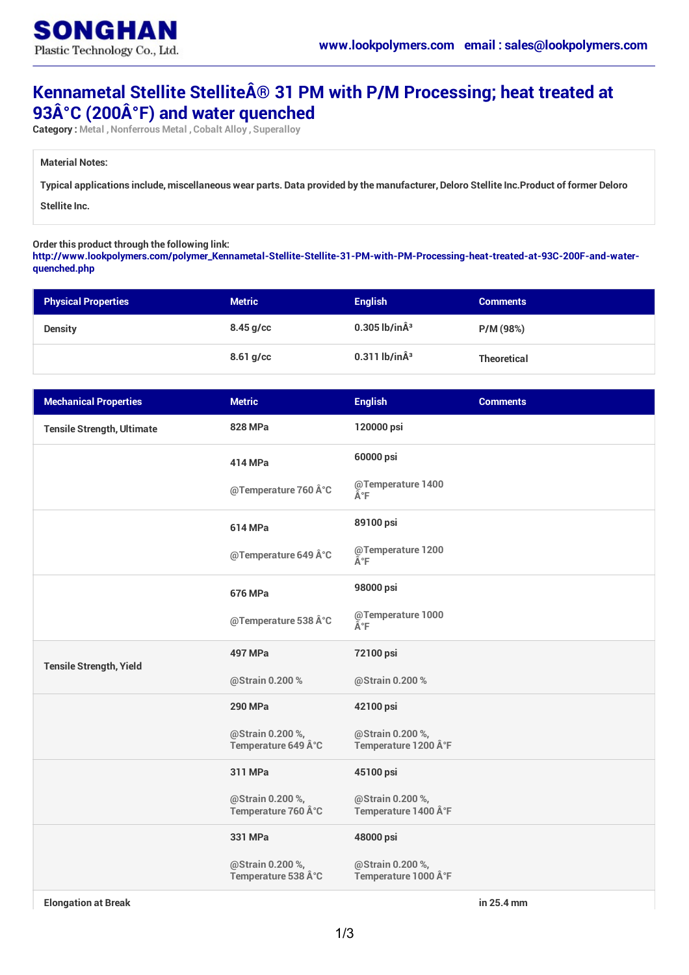

## **Kennametal Stellite Stellite® 31 PM with P/M Processing; heat treated at 93°C (200°F) and water quenched**

**Category : Metal ,Nonferrous Metal , Cobalt Alloy , Superalloy**

**Material Notes:**

Typical applications include, miscellaneous wear parts. Data provided by the manufacturer, Deloro Stellite Inc. Product of former Deloro

**Stellite Inc.**

**Order this product through the following link:**

**[http://www.lookpolymers.com/polymer\\_Kennametal-Stellite-Stellite-31-PM-with-PM-Processing-heat-treated-at-93C-200F-and-water](http://www.lookpolymers.com/polymer_Kennametal-Stellite-Stellite-31-PM-with-PM-Processing-heat-treated-at-93C-200F-and-water-quenched.php)quenched.php**

| <b>Physical Properties</b> | <b>Metric</b> | <b>English</b>            | <b>Comments</b>    |
|----------------------------|---------------|---------------------------|--------------------|
| <b>Density</b>             | $8.45$ g/cc   | $0.305$ lb/in $\hat{A}^3$ | P/M (98%)          |
|                            | $8.61$ g/cc   | $0.311$ lb/in $\hat{A}^3$ | <b>Theoretical</b> |

| <b>Mechanical Properties</b>      | <b>Metric</b>                         | <b>English</b>                          | <b>Comments</b> |
|-----------------------------------|---------------------------------------|-----------------------------------------|-----------------|
| <b>Tensile Strength, Ultimate</b> | <b>828 MPa</b>                        | 120000 psi                              |                 |
|                                   | 414 MPa                               | 60000 psi                               |                 |
|                                   | @Temperature 760 °C                   | @Temperature 1400<br>°F                 |                 |
|                                   | <b>614 MPa</b>                        | 89100 psi                               |                 |
|                                   | @Temperature 649 °C                   | @Temperature 1200<br>°F                 |                 |
|                                   | <b>676 MPa</b>                        | 98000 psi                               |                 |
|                                   | @Temperature 538 °C                   | @Temperature 1000<br>ðF                 |                 |
| <b>Tensile Strength, Yield</b>    | <b>497 MPa</b>                        | 72100 psi                               |                 |
|                                   | @Strain 0.200%                        | @Strain 0.200 %                         |                 |
|                                   | <b>290 MPa</b>                        | 42100 psi                               |                 |
|                                   | @Strain 0.200%,<br>Temperature 649 °C | @Strain 0.200 %,<br>Temperature 1200 °F |                 |
|                                   | 311 MPa                               | 45100 psi                               |                 |
|                                   | @Strain 0.200%,<br>Temperature 760 °C | @Strain 0.200 %,<br>Temperature 1400 °F |                 |
|                                   | 331 MPa                               | 48000 psi                               |                 |
|                                   | @Strain 0.200%,<br>Temperature 538 °C | @Strain 0.200%,<br>Temperature 1000 °F  |                 |

**Elongation at Break in 25.4 mm**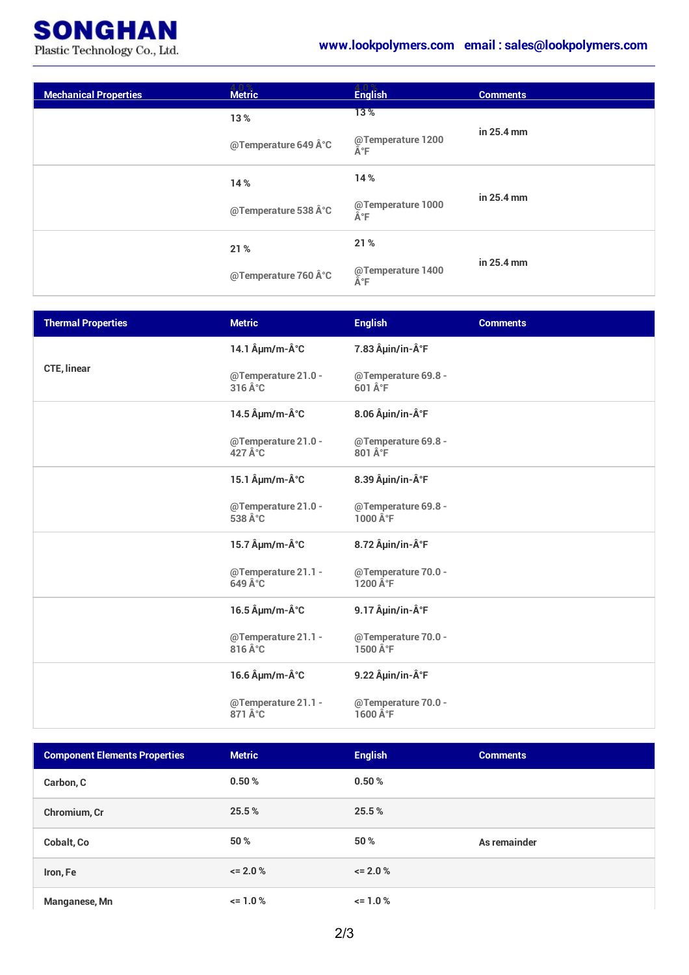

| <b>Mechanical Properties</b> | <b>Metric</b>       | <b>English</b>          | <b>Comments</b> |
|------------------------------|---------------------|-------------------------|-----------------|
|                              | 13%                 | 13%                     | in 25.4 mm      |
|                              | @Temperature 649 °C | @Temperature 1200<br>°F |                 |
|                              | 14%                 | 14 %                    | in 25.4 mm      |
|                              | @Temperature 538 °C | @Temperature 1000<br>°F |                 |
|                              | 21%                 | 21 %                    |                 |
|                              | @Temperature 760 °C | @Temperature 1400<br>°F | in 25.4 mm      |

| <b>Thermal Properties</b> | <b>Metric</b>                                 | <b>English</b>                                      | <b>Comments</b> |
|---------------------------|-----------------------------------------------|-----------------------------------------------------|-----------------|
|                           | 14.1 µm/m-°C                                  | 7.83 µin/in-°F                                      |                 |
| <b>CTE, linear</b>        | @Temperature 21.0 -<br>$316 \hat{A}^{\circ}C$ | @Temperature 69.8 -<br>$601 \hat{A}$ <sup>°</sup> F |                 |
|                           | 14.5 µm/m-°C                                  | 8.06 µin/in-°F                                      |                 |
|                           | @Temperature 21.0 -<br>427 $\hat{A}^{\circ}C$ | @Temperature 69.8 -<br>801 °F                       |                 |
|                           | 15.1 $\hat{A}$ µm/m- $\hat{A}^{\circ}$ C      | 8.39 µin/in-°F                                      |                 |
|                           | @Temperature 21.0 -<br>538 °C                 | @Temperature 69.8 -<br>$1000 \hat{A}$ °F            |                 |
|                           | 15.7 $\hat{A}$ µm/m- $\hat{A}^{\circ}$ C      | 8.72 µin/in-°F                                      |                 |
|                           | @Temperature 21.1 -<br>649 $\hat{A}^{\circ}C$ | @Temperature 70.0 -<br>1200 $\hat{A}^{\circ}F$      |                 |
|                           | 16.5 µm/m-°C                                  | 9.17 µin/in-°F                                      |                 |
|                           | @Temperature 21.1 -<br>816 °C                 | @Temperature 70.0 -<br>1500 °F                      |                 |
|                           | 16.6 µm/m-°C                                  | 9.22 µin/in-°F                                      |                 |
|                           | @Temperature 21.1 -<br>871 °C                 | @Temperature 70.0 -<br>1600 °F                      |                 |

| <b>Component Elements Properties</b> | <b>Metric</b> | <b>English</b> | <b>Comments</b> |
|--------------------------------------|---------------|----------------|-----------------|
| Carbon, C                            | 0.50%         | 0.50%          |                 |
| Chromium, Cr                         | 25.5%         | 25.5%          |                 |
| Cobalt, Co                           | 50 %          | 50 %           | As remainder    |
| Iron, Fe                             | $\leq$ 2.0 %  | $\leq$ 2.0 %   |                 |
| Manganese, Mn                        | $\le$ 1.0 %   | $\leq 1.0\%$   |                 |